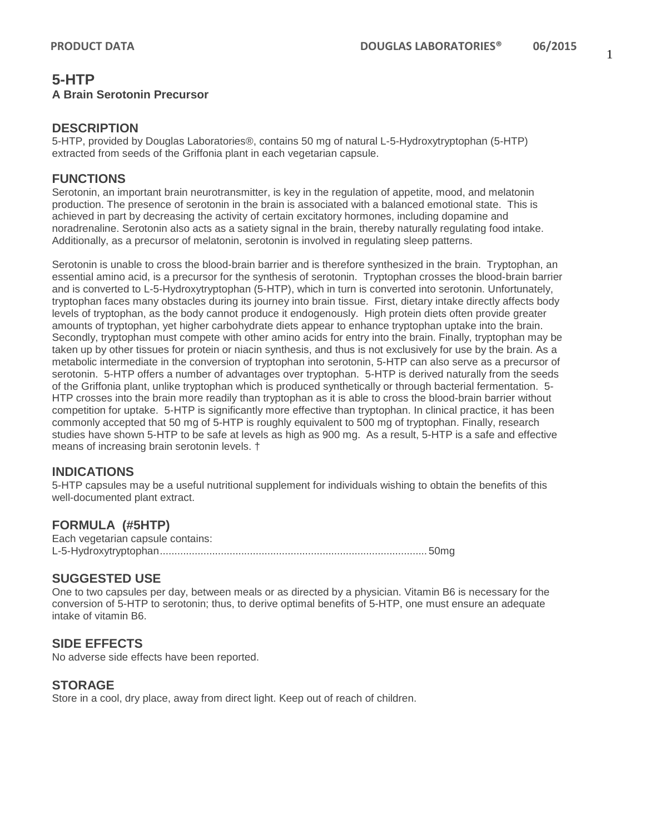## **5-HTP A Brain Serotonin Precursor**

#### **DESCRIPTION**

5-HTP, provided by Douglas Laboratories®, contains 50 mg of natural L-5-Hydroxytryptophan (5-HTP) extracted from seeds of the Griffonia plant in each vegetarian capsule.

### **FUNCTIONS**

Serotonin, an important brain neurotransmitter, is key in the regulation of appetite, mood, and melatonin production. The presence of serotonin in the brain is associated with a balanced emotional state. This is achieved in part by decreasing the activity of certain excitatory hormones, including dopamine and noradrenaline. Serotonin also acts as a satiety signal in the brain, thereby naturally regulating food intake. Additionally, as a precursor of melatonin, serotonin is involved in regulating sleep patterns.

Serotonin is unable to cross the blood-brain barrier and is therefore synthesized in the brain. Tryptophan, an essential amino acid, is a precursor for the synthesis of serotonin. Tryptophan crosses the blood-brain barrier and is converted to L-5-Hydroxytryptophan (5-HTP), which in turn is converted into serotonin. Unfortunately, tryptophan faces many obstacles during its journey into brain tissue. First, dietary intake directly affects body levels of tryptophan, as the body cannot produce it endogenously. High protein diets often provide greater amounts of tryptophan, yet higher carbohydrate diets appear to enhance tryptophan uptake into the brain. Secondly, tryptophan must compete with other amino acids for entry into the brain. Finally, tryptophan may be taken up by other tissues for protein or niacin synthesis, and thus is not exclusively for use by the brain. As a metabolic intermediate in the conversion of tryptophan into serotonin, 5-HTP can also serve as a precursor of serotonin. 5-HTP offers a number of advantages over tryptophan. 5-HTP is derived naturally from the seeds of the Griffonia plant, unlike tryptophan which is produced synthetically or through bacterial fermentation. 5- HTP crosses into the brain more readily than tryptophan as it is able to cross the blood-brain barrier without competition for uptake. 5-HTP is significantly more effective than tryptophan. In clinical practice, it has been commonly accepted that 50 mg of 5-HTP is roughly equivalent to 500 mg of tryptophan. Finally, research studies have shown 5-HTP to be safe at levels as high as 900 mg. As a result, 5-HTP is a safe and effective means of increasing brain serotonin levels. †

### **INDICATIONS**

5-HTP capsules may be a useful nutritional supplement for individuals wishing to obtain the benefits of this well-documented plant extract.

### **FORMULA (#5HTP)**

Each vegetarian capsule contains: L-5-Hydroxytryptophan............................................................................................ 50mg

## **SUGGESTED USE**

One to two capsules per day, between meals or as directed by a physician. Vitamin B6 is necessary for the conversion of 5-HTP to serotonin; thus, to derive optimal benefits of 5-HTP, one must ensure an adequate intake of vitamin B6.

### **SIDE EFFECTS**

No adverse side effects have been reported.

### **STORAGE**

Store in a cool, dry place, away from direct light. Keep out of reach of children.